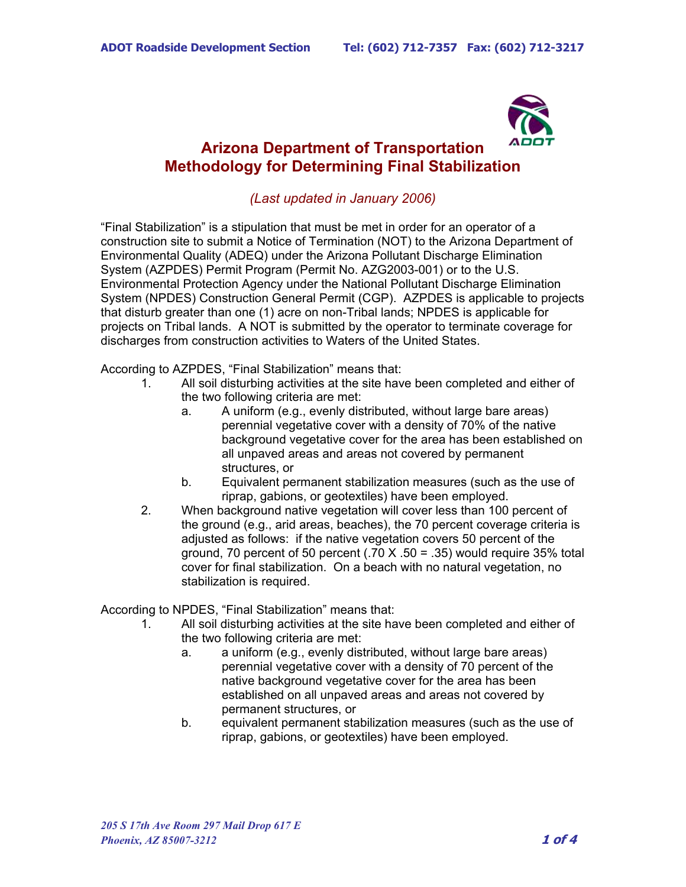

## **Arizona Department of Transportation Methodology for Determining Final Stabilization**

## *(Last updated in January 2006)*

"Final Stabilization" is a stipulation that must be met in order for an operator of a construction site to submit a Notice of Termination (NOT) to the Arizona Department of Environmental Quality (ADEQ) under the Arizona Pollutant Discharge Elimination System (AZPDES) Permit Program (Permit No. AZG2003-001) or to the U.S. Environmental Protection Agency under the National Pollutant Discharge Elimination System (NPDES) Construction General Permit (CGP). AZPDES is applicable to projects that disturb greater than one (1) acre on non-Tribal lands; NPDES is applicable for projects on Tribal lands. A NOT is submitted by the operator to terminate coverage for discharges from construction activities to Waters of the United States.

According to AZPDES, "Final Stabilization" means that:

- 1. All soil disturbing activities at the site have been completed and either of the two following criteria are met:
	- a. A uniform (e.g., evenly distributed, without large bare areas) perennial vegetative cover with a density of 70% of the native background vegetative cover for the area has been established on all unpaved areas and areas not covered by permanent structures, or
	- b. Equivalent permanent stabilization measures (such as the use of riprap, gabions, or geotextiles) have been employed.
- 2. When background native vegetation will cover less than 100 percent of the ground (e.g., arid areas, beaches), the 70 percent coverage criteria is adjusted as follows: if the native vegetation covers 50 percent of the ground, 70 percent of 50 percent  $(.70 \text{ X} \cdot .50 = .35)$  would require 35% total cover for final stabilization. On a beach with no natural vegetation, no stabilization is required.

According to NPDES, "Final Stabilization" means that:

- 1. All soil disturbing activities at the site have been completed and either of the two following criteria are met:
	- a. a uniform (e.g., evenly distributed, without large bare areas) perennial vegetative cover with a density of 70 percent of the native background vegetative cover for the area has been established on all unpaved areas and areas not covered by permanent structures, or
	- b. equivalent permanent stabilization measures (such as the use of riprap, gabions, or geotextiles) have been employed.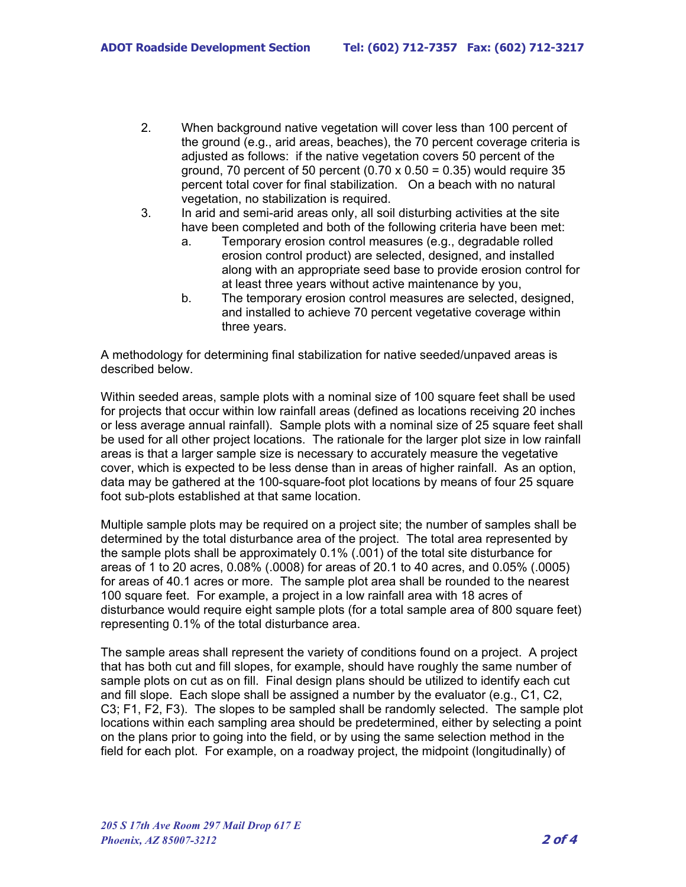- 2. When background native vegetation will cover less than 100 percent of the ground (e.g., arid areas, beaches), the 70 percent coverage criteria is adjusted as follows: if the native vegetation covers 50 percent of the ground, 70 percent of 50 percent  $(0.70 \times 0.50 = 0.35)$  would require 35 percent total cover for final stabilization. On a beach with no natural vegetation, no stabilization is required.
- 3. In arid and semi-arid areas only, all soil disturbing activities at the site have been completed and both of the following criteria have been met:
	- a. Temporary erosion control measures (e.g., degradable rolled erosion control product) are selected, designed, and installed along with an appropriate seed base to provide erosion control for at least three years without active maintenance by you,
	- b. The temporary erosion control measures are selected, designed, and installed to achieve 70 percent vegetative coverage within three years.

A methodology for determining final stabilization for native seeded/unpaved areas is described below.

Within seeded areas, sample plots with a nominal size of 100 square feet shall be used for projects that occur within low rainfall areas (defined as locations receiving 20 inches or less average annual rainfall). Sample plots with a nominal size of 25 square feet shall be used for all other project locations. The rationale for the larger plot size in low rainfall areas is that a larger sample size is necessary to accurately measure the vegetative cover, which is expected to be less dense than in areas of higher rainfall. As an option, data may be gathered at the 100-square-foot plot locations by means of four 25 square foot sub-plots established at that same location.

Multiple sample plots may be required on a project site; the number of samples shall be determined by the total disturbance area of the project. The total area represented by the sample plots shall be approximately 0.1% (.001) of the total site disturbance for areas of 1 to 20 acres, 0.08% (.0008) for areas of 20.1 to 40 acres, and 0.05% (.0005) for areas of 40.1 acres or more. The sample plot area shall be rounded to the nearest 100 square feet. For example, a project in a low rainfall area with 18 acres of disturbance would require eight sample plots (for a total sample area of 800 square feet) representing 0.1% of the total disturbance area.

The sample areas shall represent the variety of conditions found on a project. A project that has both cut and fill slopes, for example, should have roughly the same number of sample plots on cut as on fill. Final design plans should be utilized to identify each cut and fill slope. Each slope shall be assigned a number by the evaluator (e.g., C1, C2, C3; F1, F2, F3). The slopes to be sampled shall be randomly selected. The sample plot locations within each sampling area should be predetermined, either by selecting a point on the plans prior to going into the field, or by using the same selection method in the field for each plot. For example, on a roadway project, the midpoint (longitudinally) of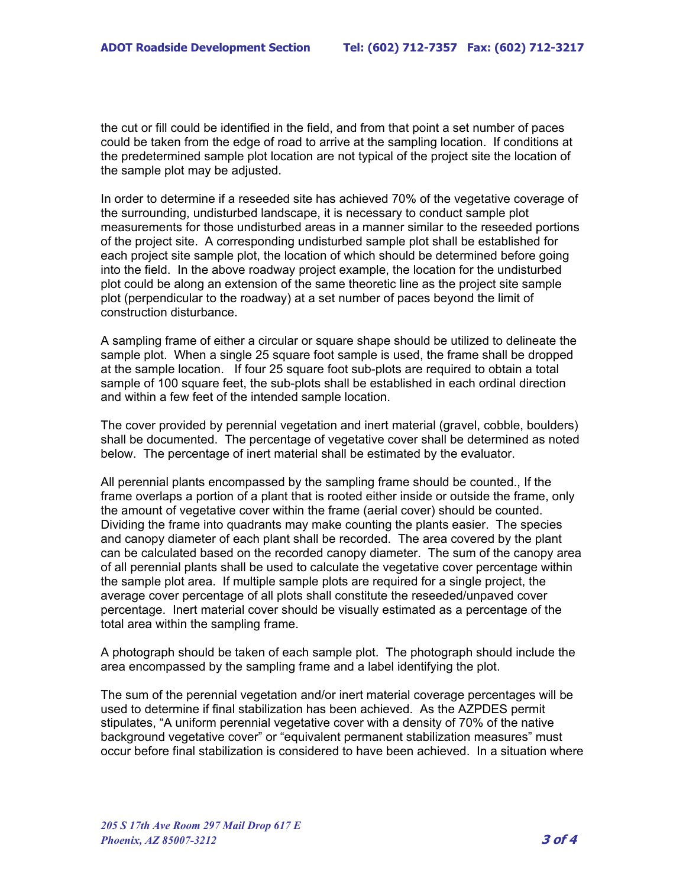the cut or fill could be identified in the field, and from that point a set number of paces could be taken from the edge of road to arrive at the sampling location. If conditions at the predetermined sample plot location are not typical of the project site the location of the sample plot may be adjusted.

In order to determine if a reseeded site has achieved 70% of the vegetative coverage of the surrounding, undisturbed landscape, it is necessary to conduct sample plot measurements for those undisturbed areas in a manner similar to the reseeded portions of the project site. A corresponding undisturbed sample plot shall be established for each project site sample plot, the location of which should be determined before going into the field. In the above roadway project example, the location for the undisturbed plot could be along an extension of the same theoretic line as the project site sample plot (perpendicular to the roadway) at a set number of paces beyond the limit of construction disturbance.

A sampling frame of either a circular or square shape should be utilized to delineate the sample plot. When a single 25 square foot sample is used, the frame shall be dropped at the sample location. If four 25 square foot sub-plots are required to obtain a total sample of 100 square feet, the sub-plots shall be established in each ordinal direction and within a few feet of the intended sample location.

The cover provided by perennial vegetation and inert material (gravel, cobble, boulders) shall be documented. The percentage of vegetative cover shall be determined as noted below. The percentage of inert material shall be estimated by the evaluator.

All perennial plants encompassed by the sampling frame should be counted., If the frame overlaps a portion of a plant that is rooted either inside or outside the frame, only the amount of vegetative cover within the frame (aerial cover) should be counted. Dividing the frame into quadrants may make counting the plants easier. The species and canopy diameter of each plant shall be recorded. The area covered by the plant can be calculated based on the recorded canopy diameter. The sum of the canopy area of all perennial plants shall be used to calculate the vegetative cover percentage within the sample plot area. If multiple sample plots are required for a single project, the average cover percentage of all plots shall constitute the reseeded/unpaved cover percentage. Inert material cover should be visually estimated as a percentage of the total area within the sampling frame.

A photograph should be taken of each sample plot. The photograph should include the area encompassed by the sampling frame and a label identifying the plot.

The sum of the perennial vegetation and/or inert material coverage percentages will be used to determine if final stabilization has been achieved. As the AZPDES permit stipulates, "A uniform perennial vegetative cover with a density of 70% of the native background vegetative cover" or "equivalent permanent stabilization measures" must occur before final stabilization is considered to have been achieved. In a situation where